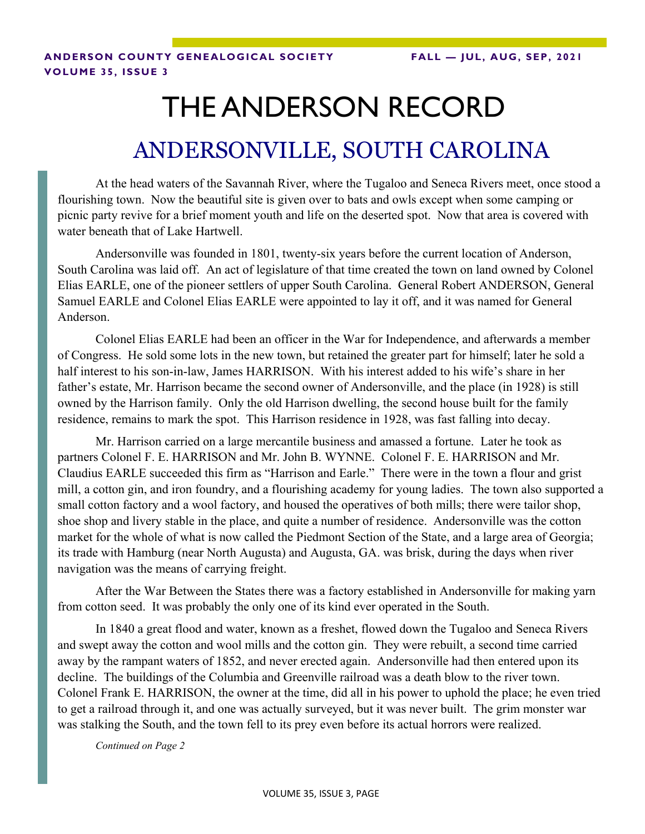# THE ANDERSON RECORD

## ANDERSONVILLE, SOUTH CAROLINA

At the head waters of the Savannah River, where the Tugaloo and Seneca Rivers meet, once stood a flourishing town. Now the beautiful site is given over to bats and owls except when some camping or picnic party revive for a brief moment youth and life on the deserted spot. Now that area is covered with water beneath that of Lake Hartwell.

Andersonville was founded in 1801, twenty-six years before the current location of Anderson, South Carolina was laid off. An act of legislature of that time created the town on land owned by Colonel Elias EARLE, one of the pioneer settlers of upper South Carolina. General Robert ANDERSON, General Samuel EARLE and Colonel Elias EARLE were appointed to lay it off, and it was named for General Anderson.

Colonel Elias EARLE had been an officer in the War for Independence, and afterwards a member of Congress. He sold some lots in the new town, but retained the greater part for himself; later he sold a half interest to his son-in-law, James HARRISON. With his interest added to his wife's share in her father's estate, Mr. Harrison became the second owner of Andersonville, and the place (in 1928) is still owned by the Harrison family. Only the old Harrison dwelling, the second house built for the family residence, remains to mark the spot. This Harrison residence in 1928, was fast falling into decay.

Mr. Harrison carried on a large mercantile business and amassed a fortune. Later he took as partners Colonel F. E. HARRISON and Mr. John B. WYNNE. Colonel F. E. HARRISON and Mr. Claudius EARLE succeeded this firm as "Harrison and Earle." There were in the town a flour and grist mill, a cotton gin, and iron foundry, and a flourishing academy for young ladies. The town also supported a small cotton factory and a wool factory, and housed the operatives of both mills; there were tailor shop, shoe shop and livery stable in the place, and quite a number of residence. Andersonville was the cotton market for the whole of what is now called the Piedmont Section of the State, and a large area of Georgia; its trade with Hamburg (near North Augusta) and Augusta, GA. was brisk, during the days when river navigation was the means of carrying freight.

After the War Between the States there was a factory established in Andersonville for making yarn from cotton seed. It was probably the only one of its kind ever operated in the South.

In 1840 a great flood and water, known as a freshet, flowed down the Tugaloo and Seneca Rivers and swept away the cotton and wool mills and the cotton gin. They were rebuilt, a second time carried away by the rampant waters of 1852, and never erected again. Andersonville had then entered upon its decline. The buildings of the Columbia and Greenville railroad was a death blow to the river town. Colonel Frank E. HARRISON, the owner at the time, did all in his power to uphold the place; he even tried to get a railroad through it, and one was actually surveyed, but it was never built. The grim monster war was stalking the South, and the town fell to its prey even before its actual horrors were realized.

*Continued on Page 2*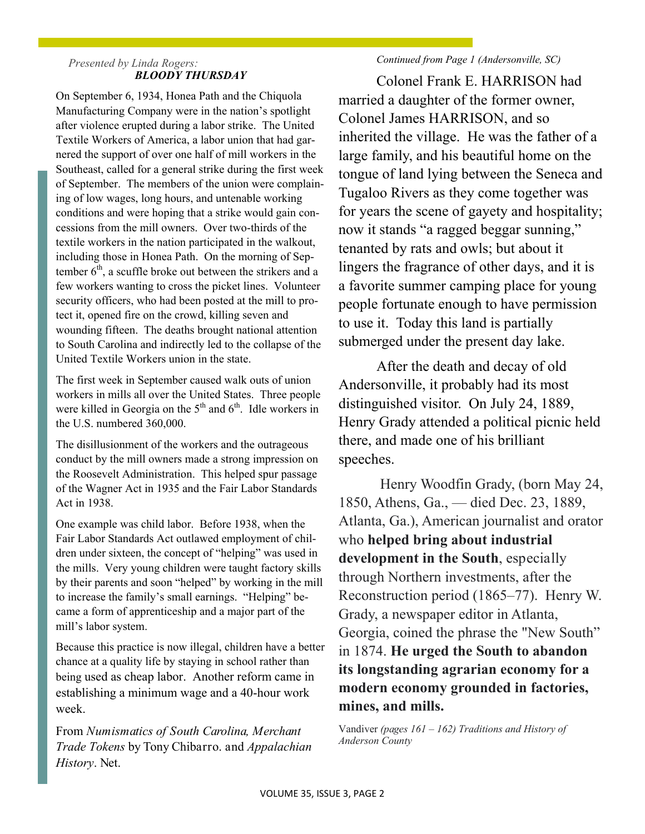#### *Presented by Linda Rogers: BLOODY THURSDAY*

On September 6, 1934, Honea Path and the Chiquola Manufacturing Company were in the nation's spotlight after violence erupted during a labor strike. The United Textile Workers of America, a labor union that had garnered the support of over one half of mill workers in the Southeast, called for a general strike during the first week of September. The members of the union were complaining of low wages, long hours, and untenable working conditions and were hoping that a strike would gain concessions from the mill owners. Over two-thirds of the textile workers in the nation participated in the walkout, including those in Honea Path. On the morning of September  $6<sup>th</sup>$ , a scuffle broke out between the strikers and a few workers wanting to cross the picket lines. Volunteer security officers, who had been posted at the mill to protect it, opened fire on the crowd, killing seven and wounding fifteen. The deaths brought national attention to South Carolina and indirectly led to the collapse of the United Textile Workers union in the state.

The first week in September caused walk outs of union workers in mills all over the United States. Three people were killed in Georgia on the  $5<sup>th</sup>$  and  $6<sup>th</sup>$ . Idle workers in the U.S. numbered 360,000.

The disillusionment of the workers and the outrageous conduct by the mill owners made a strong impression on the Roosevelt Administration. This helped spur passage of the Wagner Act in 1935 and the Fair Labor Standards Act in 1938.

One example was child labor. Before 1938, when the Fair Labor Standards Act outlawed employment of children under sixteen, the concept of "helping" was used in the mills. Very young children were taught factory skills by their parents and soon "helped" by working in the mill to increase the family's small earnings. "Helping" became a form of apprenticeship and a major part of the mill's labor system.

Because this practice is now illegal, children have a better chance at a quality life by staying in school rather than being used as cheap labor. Another reform came in establishing a minimum wage and a 40-hour work week.

From *Numismatics of South Carolina, Merchant Trade Tokens* by Tony Chibarro. and *Appalachian History*. Net.

#### *Continued from Page 1 (Andersonville, SC)*

Colonel Frank E. HARRISON had married a daughter of the former owner, Colonel James HARRISON, and so inherited the village. He was the father of a large family, and his beautiful home on the tongue of land lying between the Seneca and Tugaloo Rivers as they come together was for years the scene of gayety and hospitality; now it stands "a ragged beggar sunning," tenanted by rats and owls; but about it lingers the fragrance of other days, and it is a favorite summer camping place for young people fortunate enough to have permission to use it. Today this land is partially submerged under the present day lake.

After the death and decay of old Andersonville, it probably had its most distinguished visitor. On July 24, 1889, Henry Grady attended a political picnic held there, and made one of his brilliant speeches.

Henry Woodfin Grady, (born May 24, 1850, Athens, Ga., — died Dec. 23, 1889, Atlanta, Ga.), American journalist and orator who **helped bring about industrial development in the South**, especially through Northern investments, after the Reconstruction period (1865–77). Henry W. Grady, a newspaper editor in Atlanta, Georgia, coined the phrase the "New South" in 1874. **He urged the South to abandon its longstanding agrarian economy for a modern economy grounded in factories, mines, and mills.** 

Vandiver *(pages 161 – 162) Traditions and History of Anderson County*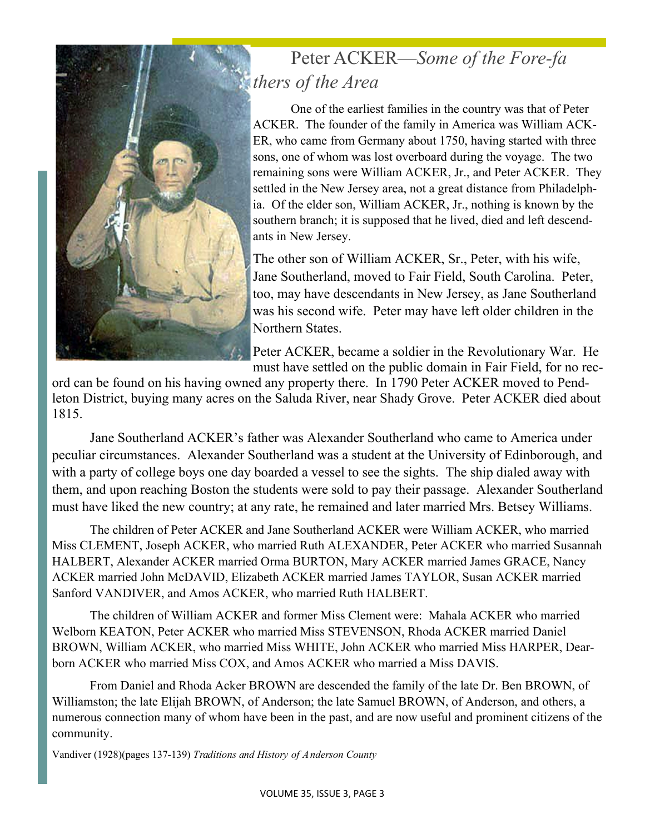

## Peter ACKER—*Some of the Fore-fa thers of the Area*

One of the earliest families in the country was that of Peter ACKER. The founder of the family in America was William ACK-ER, who came from Germany about 1750, having started with three sons, one of whom was lost overboard during the voyage. The two remaining sons were William ACKER, Jr., and Peter ACKER. They settled in the New Jersey area, not a great distance from Philadelphia. Of the elder son, William ACKER, Jr., nothing is known by the southern branch; it is supposed that he lived, died and left descendants in New Jersey.

The other son of William ACKER, Sr., Peter, with his wife, Jane Southerland, moved to Fair Field, South Carolina. Peter, too, may have descendants in New Jersey, as Jane Southerland was his second wife. Peter may have left older children in the Northern States.

Peter ACKER, became a soldier in the Revolutionary War. He must have settled on the public domain in Fair Field, for no rec-

ord can be found on his having owned any property there. In 1790 Peter ACKER moved to Pendleton District, buying many acres on the Saluda River, near Shady Grove. Peter ACKER died about 1815.

Jane Southerland ACKER's father was Alexander Southerland who came to America under peculiar circumstances. Alexander Southerland was a student at the University of Edinborough, and with a party of college boys one day boarded a vessel to see the sights. The ship dialed away with them, and upon reaching Boston the students were sold to pay their passage. Alexander Southerland must have liked the new country; at any rate, he remained and later married Mrs. Betsey Williams.

The children of Peter ACKER and Jane Southerland ACKER were William ACKER, who married Miss CLEMENT, Joseph ACKER, who married Ruth ALEXANDER, Peter ACKER who married Susannah HALBERT, Alexander ACKER married Orma BURTON, Mary ACKER married James GRACE, Nancy ACKER married John McDAVID, Elizabeth ACKER married James TAYLOR, Susan ACKER married Sanford VANDIVER, and Amos ACKER, who married Ruth HALBERT.

The children of William ACKER and former Miss Clement were: Mahala ACKER who married Welborn KEATON, Peter ACKER who married Miss STEVENSON, Rhoda ACKER married Daniel BROWN, William ACKER, who married Miss WHITE, John ACKER who married Miss HARPER, Dearborn ACKER who married Miss COX, and Amos ACKER who married a Miss DAVIS.

From Daniel and Rhoda Acker BROWN are descended the family of the late Dr. Ben BROWN, of Williamston; the late Elijah BROWN, of Anderson; the late Samuel BROWN, of Anderson, and others, a numerous connection many of whom have been in the past, and are now useful and prominent citizens of the community.

Vandiver (1928)(pages 137-139) *Traditions and History of Anderson County*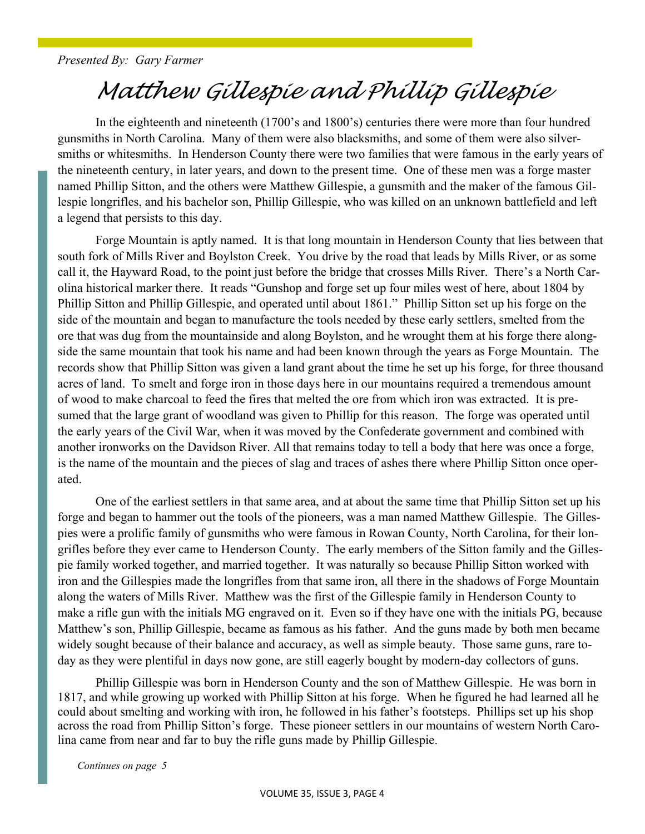*Presented By: Gary Farmer* 

## *Matthew Gillespie and Phillip Gillespie*

In the eighteenth and nineteenth (1700's and 1800's) centuries there were more than four hundred gunsmiths in North Carolina. Many of them were also blacksmiths, and some of them were also silversmiths or whitesmiths. In Henderson County there were two families that were famous in the early years of the nineteenth century, in later years, and down to the present time. One of these men was a forge master named Phillip Sitton, and the others were Matthew Gillespie, a gunsmith and the maker of the famous Gillespie longrifles, and his bachelor son, Phillip Gillespie, who was killed on an unknown battlefield and left a legend that persists to this day.

 Forge Mountain is aptly named. It is that long mountain in Henderson County that lies between that south fork of Mills River and Boylston Creek. You drive by the road that leads by Mills River, or as some call it, the Hayward Road, to the point just before the bridge that crosses Mills River. There's a North Carolina historical marker there. It reads "Gunshop and forge set up four miles west of here, about 1804 by Phillip Sitton and Phillip Gillespie, and operated until about 1861." Phillip Sitton set up his forge on the side of the mountain and began to manufacture the tools needed by these early settlers, smelted from the ore that was dug from the mountainside and along Boylston, and he wrought them at his forge there alongside the same mountain that took his name and had been known through the years as Forge Mountain. The records show that Phillip Sitton was given a land grant about the time he set up his forge, for three thousand acres of land. To smelt and forge iron in those days here in our mountains required a tremendous amount of wood to make charcoal to feed the fires that melted the ore from which iron was extracted. It is presumed that the large grant of woodland was given to Phillip for this reason. The forge was operated until the early years of the Civil War, when it was moved by the Confederate government and combined with another ironworks on the Davidson River. All that remains today to tell a body that here was once a forge, is the name of the mountain and the pieces of slag and traces of ashes there where Phillip Sitton once operated.

 One of the earliest settlers in that same area, and at about the same time that Phillip Sitton set up his forge and began to hammer out the tools of the pioneers, was a man named Matthew Gillespie. The Gillespies were a prolific family of gunsmiths who were famous in Rowan County, North Carolina, for their longrifles before they ever came to Henderson County. The early members of the Sitton family and the Gillespie family worked together, and married together. It was naturally so because Phillip Sitton worked with iron and the Gillespies made the longrifles from that same iron, all there in the shadows of Forge Mountain along the waters of Mills River. Matthew was the first of the Gillespie family in Henderson County to make a rifle gun with the initials MG engraved on it. Even so if they have one with the initials PG, because Matthew's son, Phillip Gillespie, became as famous as his father. And the guns made by both men became widely sought because of their balance and accuracy, as well as simple beauty. Those same guns, rare today as they were plentiful in days now gone, are still eagerly bought by modern-day collectors of guns.

 Phillip Gillespie was born in Henderson County and the son of Matthew Gillespie. He was born in 1817, and while growing up worked with Phillip Sitton at his forge. When he figured he had learned all he could about smelting and working with iron, he followed in his father's footsteps. Phillips set up his shop across the road from Phillip Sitton's forge. These pioneer settlers in our mountains of western North Carolina came from near and far to buy the rifle guns made by Phillip Gillespie.

*Continues on page 5*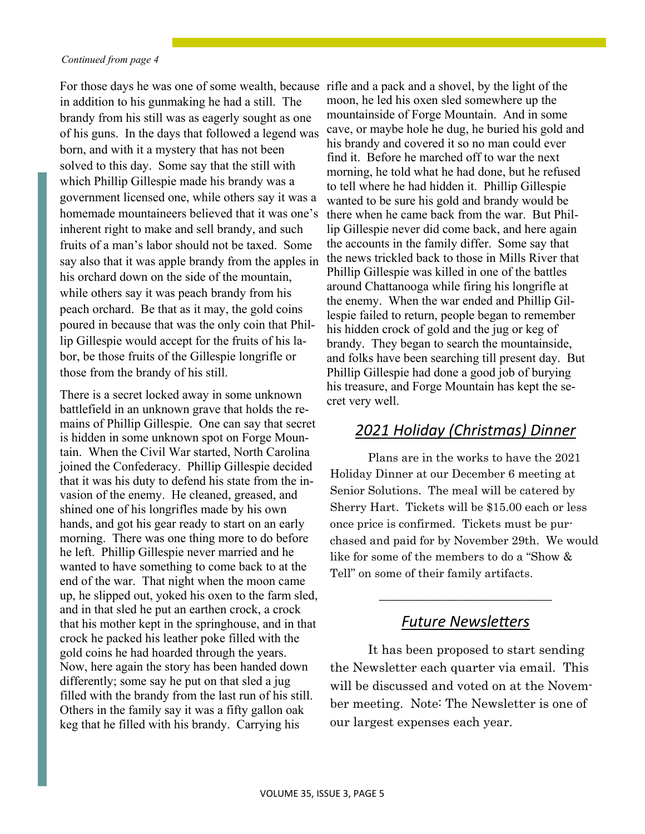#### *Continued from page 4*

For those days he was one of some wealth, because rifle and a pack and a shovel, by the light of the in addition to his gunmaking he had a still. The brandy from his still was as eagerly sought as one of his guns. In the days that followed a legend was born, and with it a mystery that has not been solved to this day. Some say that the still with which Phillip Gillespie made his brandy was a government licensed one, while others say it was a homemade mountaineers believed that it was one's inherent right to make and sell brandy, and such fruits of a man's labor should not be taxed. Some say also that it was apple brandy from the apples in his orchard down on the side of the mountain, while others say it was peach brandy from his peach orchard. Be that as it may, the gold coins poured in because that was the only coin that Phillip Gillespie would accept for the fruits of his labor, be those fruits of the Gillespie longrifle or those from the brandy of his still.

There is a secret locked away in some unknown battlefield in an unknown grave that holds the remains of Phillip Gillespie. One can say that secret is hidden in some unknown spot on Forge Mountain. When the Civil War started, North Carolina joined the Confederacy. Phillip Gillespie decided that it was his duty to defend his state from the invasion of the enemy. He cleaned, greased, and shined one of his longrifles made by his own hands, and got his gear ready to start on an early morning. There was one thing more to do before he left. Phillip Gillespie never married and he wanted to have something to come back to at the end of the war. That night when the moon came up, he slipped out, yoked his oxen to the farm sled, and in that sled he put an earthen crock, a crock that his mother kept in the springhouse, and in that crock he packed his leather poke filled with the gold coins he had hoarded through the years. Now, here again the story has been handed down differently; some say he put on that sled a jug filled with the brandy from the last run of his still. Others in the family say it was a fifty gallon oak keg that he filled with his brandy. Carrying his

moon, he led his oxen sled somewhere up the mountainside of Forge Mountain. And in some cave, or maybe hole he dug, he buried his gold and his brandy and covered it so no man could ever find it. Before he marched off to war the next morning, he told what he had done, but he refused to tell where he had hidden it. Phillip Gillespie wanted to be sure his gold and brandy would be there when he came back from the war. But Phillip Gillespie never did come back, and here again the accounts in the family differ. Some say that the news trickled back to those in Mills River that Phillip Gillespie was killed in one of the battles around Chattanooga while firing his longrifle at the enemy. When the war ended and Phillip Gillespie failed to return, people began to remember his hidden crock of gold and the jug or keg of brandy. They began to search the mountainside, and folks have been searching till present day. But Phillip Gillespie had done a good job of burying his treasure, and Forge Mountain has kept the secret very well.

### *2021 Holiday (Christmas) Dinner*

 Plans are in the works to have the 2021 Holiday Dinner at our December 6 meeting at Senior Solutions. The meal will be catered by Sherry Hart. Tickets will be \$15.00 each or less once price is confirmed. Tickets must be purchased and paid for by November 29th. We would like for some of the members to do a "Show & Tell" on some of their family artifacts.

## *Future NewsleƩers*

\_\_\_\_\_\_\_\_\_\_\_\_\_\_\_\_\_\_\_\_\_\_\_\_\_\_\_\_\_\_\_\_\_

 It has been proposed to start sending the Newsletter each quarter via email. This will be discussed and voted on at the November meeting. Note: The Newsletter is one of our largest expenses each year.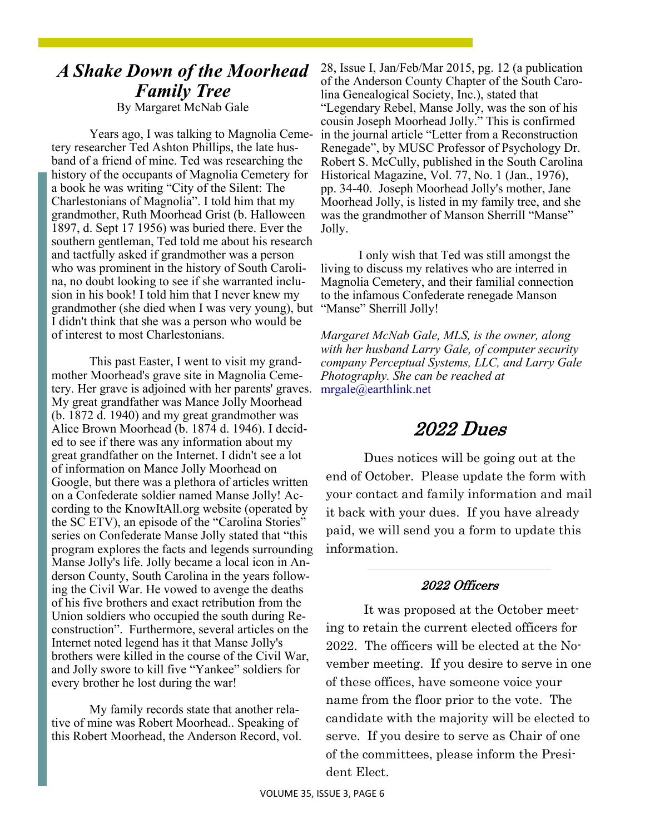### *A Shake Down of the Moorhead Family Tree*  By Margaret McNab Gale

Years ago, I was talking to Magnolia Cemetery researcher Ted Ashton Phillips, the late husband of a friend of mine. Ted was researching the history of the occupants of Magnolia Cemetery for a book he was writing "City of the Silent: The Charlestonians of Magnolia". I told him that my grandmother, Ruth Moorhead Grist (b. Halloween 1897, d. Sept 17 1956) was buried there. Ever the southern gentleman, Ted told me about his research and tactfully asked if grandmother was a person who was prominent in the history of South Carolina, no doubt looking to see if she warranted inclusion in his book! I told him that I never knew my grandmother (she died when I was very young), but I didn't think that she was a person who would be of interest to most Charlestonians.

This past Easter, I went to visit my grandmother Moorhead's grave site in Magnolia Cemetery. Her grave is adjoined with her parents' graves. My great grandfather was Mance Jolly Moorhead (b. 1872 d. 1940) and my great grandmother was Alice Brown Moorhead (b. 1874 d. 1946). I decided to see if there was any information about my great grandfather on the Internet. I didn't see a lot of information on Mance Jolly Moorhead on Google, but there was a plethora of articles written on a Confederate soldier named Manse Jolly! According to the KnowItAll.org website (operated by the SC ETV), an episode of the "Carolina Stories" series on Confederate Manse Jolly stated that "this program explores the facts and legends surrounding Manse Jolly's life. Jolly became a local icon in Anderson County, South Carolina in the years following the Civil War. He vowed to avenge the deaths of his five brothers and exact retribution from the Union soldiers who occupied the south during Reconstruction". Furthermore, several articles on the Internet noted legend has it that Manse Jolly's brothers were killed in the course of the Civil War, and Jolly swore to kill five "Yankee" soldiers for every brother he lost during the war!

My family records state that another relative of mine was Robert Moorhead.. Speaking of this Robert Moorhead, the Anderson Record, vol. 28, Issue I, Jan/Feb/Mar 2015, pg. 12 (a publication of the Anderson County Chapter of the South Carolina Genealogical Society, Inc.), stated that "Legendary Rebel, Manse Jolly, was the son of his cousin Joseph Moorhead Jolly." This is confirmed in the journal article "Letter from a Reconstruction Renegade", by MUSC Professor of Psychology Dr. Robert S. McCully, published in the South Carolina Historical Magazine, Vol. 77, No. 1 (Jan., 1976), pp. 34-40. Joseph Moorhead Jolly's mother, Jane Moorhead Jolly, is listed in my family tree, and she was the grandmother of Manson Sherrill "Manse" Jolly.

I only wish that Ted was still amongst the living to discuss my relatives who are interred in Magnolia Cemetery, and their familial connection to the infamous Confederate renegade Manson "Manse" Sherrill Jolly!

*Margaret McNab Gale, MLS, is the owner, along with her husband Larry Gale, of computer security company Perceptual Systems, LLC, and Larry Gale Photography. She can be reached at*  mrgale@earthlink.net

## 2022 Dues

Dues notices will be going out at the end of October. Please update the form with your contact and family information and mail it back with your dues. If you have already paid, we will send you a form to update this information.

#### \_\_\_\_\_\_\_\_\_\_\_\_\_\_\_\_\_\_\_\_\_\_\_\_\_\_\_\_\_\_\_\_\_\_\_\_\_\_\_\_\_\_\_\_\_\_\_\_\_\_\_\_\_\_\_\_\_\_\_\_\_\_\_\_\_\_\_\_\_\_\_\_\_\_\_\_\_\_\_\_\_\_\_\_\_\_\_ 2022 Officers

 It was proposed at the October meeting to retain the current elected officers for 2022. The officers will be elected at the November meeting. If you desire to serve in one of these offices, have someone voice your name from the floor prior to the vote. The candidate with the majority will be elected to serve. If you desire to serve as Chair of one of the committees, please inform the President Elect.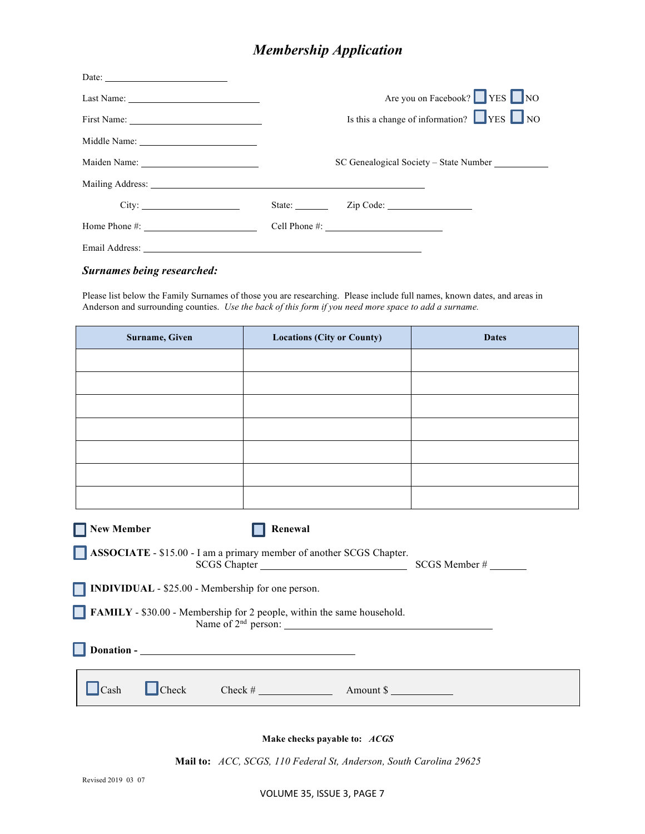## *Membership Application*

| Date: $\qquad \qquad$ |                                                       |  |
|-----------------------|-------------------------------------------------------|--|
|                       | Are you on Facebook? YES NO                           |  |
|                       | Is this a change of information? $\Box$ YES $\Box$ NO |  |
|                       |                                                       |  |
| Maiden Name: 1988     | SC Genealogical Society – State Number                |  |
|                       |                                                       |  |
| City:                 | Zip Code:<br>State:                                   |  |
|                       | Cell Phone #:                                         |  |
|                       |                                                       |  |

#### *Surnames being researched:*

Please list below the Family Surnames of those you are researching. Please include full names, known dates, and areas in Anderson and surrounding counties. *Use the back of this form if you need more space to add a surname.*

| Surname, Given                                                                                       | <b>Locations (City or County)</b> | <b>Dates</b> |  |
|------------------------------------------------------------------------------------------------------|-----------------------------------|--------------|--|
|                                                                                                      |                                   |              |  |
|                                                                                                      |                                   |              |  |
|                                                                                                      |                                   |              |  |
|                                                                                                      |                                   |              |  |
|                                                                                                      |                                   |              |  |
|                                                                                                      |                                   |              |  |
|                                                                                                      |                                   |              |  |
| New Member                                                                                           | Renewal                           |              |  |
| ASSOCIATE - \$15.00 - I am a primary member of another SCGS Chapter.                                 |                                   |              |  |
| INDIVIDUAL - \$25.00 - Membership for one person.                                                    |                                   |              |  |
| П<br>FAMILY - \$30.00 - Membership for 2 people, within the same household.<br>Name of $2nd$ person: |                                   |              |  |
|                                                                                                      |                                   |              |  |
| $\Box$ Check<br>$\Box$ Cash                                                                          | Check $\#$ Amount \$              |              |  |

**Make checks payable to:** *ACGS*

**Mail to:** *ACC, SCGS, 110 Federal St, Anderson, South Carolina 29625*